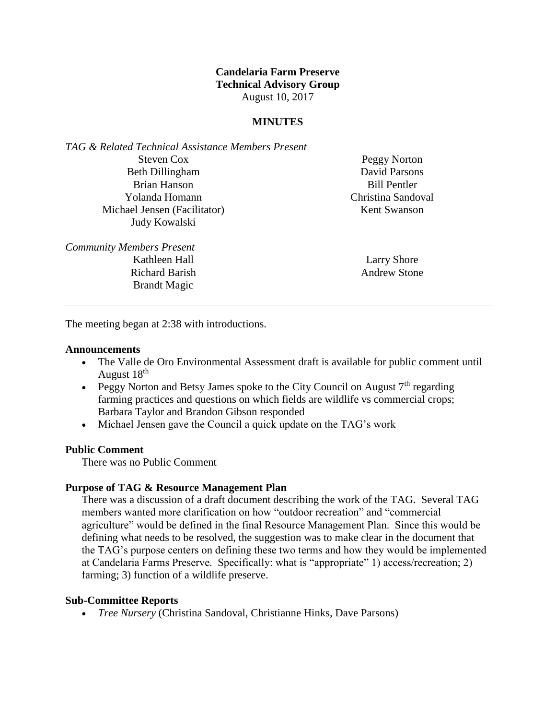# **Candelaria Farm Preserve Technical Advisory Group** August 10, 2017

## **MINUTES**

*TAG & Related Technical Assistance Members Present* Steven Cox Beth Dillingham Brian Hanson Yolanda Homann Michael Jensen (Facilitator) Judy Kowalski

Peggy Norton David Parsons Bill Pentler Christina Sandoval Kent Swanson

*Community Members Present* Kathleen Hall Richard Barish Brandt Magic

Larry Shore Andrew Stone

The meeting began at 2:38 with introductions.

#### **Announcements**

- The Valle de Oro Environmental Assessment draft is available for public comment until August 18<sup>th</sup>
- Peggy Norton and Betsy James spoke to the City Council on August  $7<sup>th</sup>$  regarding farming practices and questions on which fields are wildlife vs commercial crops; Barbara Taylor and Brandon Gibson responded
- Michael Jensen gave the Council a quick update on the TAG's work

## **Public Comment**

There was no Public Comment

### **Purpose of TAG & Resource Management Plan**

There was a discussion of a draft document describing the work of the TAG. Several TAG members wanted more clarification on how "outdoor recreation" and "commercial agriculture" would be defined in the final Resource Management Plan. Since this would be defining what needs to be resolved, the suggestion was to make clear in the document that the TAG's purpose centers on defining these two terms and how they would be implemented at Candelaria Farms Preserve. Specifically: what is "appropriate" 1) access/recreation; 2) farming; 3) function of a wildlife preserve.

### **Sub-Committee Reports**

*Tree Nursery* (Christina Sandoval, Christianne Hinks, Dave Parsons)